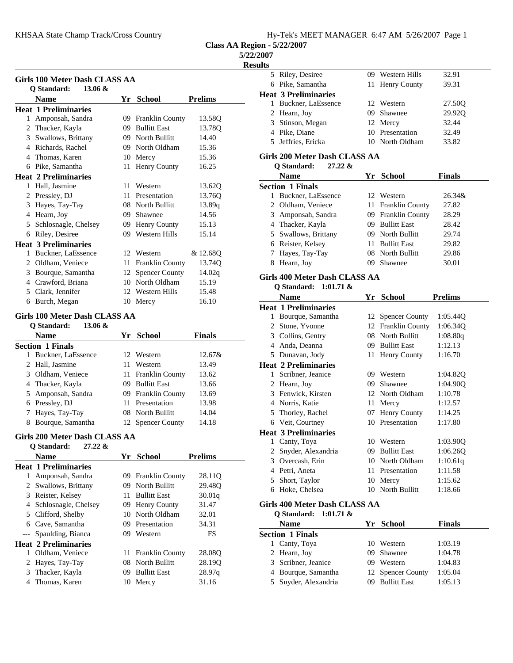| Hy-Tek's MEET MANAGER 6:47 AM 5/26/2007 Page 1 |  |  |  |  |  |  |  |  |
|------------------------------------------------|--|--|--|--|--|--|--|--|
|------------------------------------------------|--|--|--|--|--|--|--|--|

## **5/22/2007**

**Results**

| Girls 100 Meter Dash CLASS AA<br>Q Standard:<br>$13.06 \&$<br><b>Name</b><br>Yr School                                                                       |                    |
|--------------------------------------------------------------------------------------------------------------------------------------------------------------|--------------------|
|                                                                                                                                                              |                    |
| <b>Heat 1 Preliminaries</b>                                                                                                                                  |                    |
|                                                                                                                                                              | <b>Prelims</b>     |
|                                                                                                                                                              | 13.58Q             |
| 1 Amponsah, Sandra<br>09 Franklin County<br>09 Bullitt East<br>2 Thacker, Kayla                                                                              | 13.78Q             |
| 09 North Bullitt                                                                                                                                             | 14.40              |
| 3 Swallows, Brittany<br>4 Richards, Rachel<br>09 North Oldham                                                                                                | 15.36              |
| 4 Thomas, Karen<br>10 Mercy                                                                                                                                  | 15.36              |
| 6 Pike, Samantha<br>11 Henry County                                                                                                                          | 16.25              |
| <b>Heat 2 Preliminaries</b>                                                                                                                                  |                    |
| 1 Hall, Jasmine<br>11<br>Western                                                                                                                             | 13.62Q             |
| 2 Pressley, DJ<br>11 Presentation                                                                                                                            | 13.76Q             |
| 3 Hayes, Tay-Tay<br>08 North Bullitt                                                                                                                         |                    |
| 4 Hearn, Joy<br>09 Shawnee                                                                                                                                   | 13.89q<br>14.56    |
| 5 Schlosnagle, Chelsey                                                                                                                                       | 15.13              |
| 09 Henry County<br>6 Riley, Desiree<br>09 Western Hills                                                                                                      | 15.14              |
|                                                                                                                                                              |                    |
| <b>Heat 3 Preliminaries</b><br>Buckner, LaEssence<br>12 Western<br>1                                                                                         |                    |
| 2 Oldham, Veniece<br>11 Franklin County                                                                                                                      | & 12.68Q<br>13.74Q |
| 12 Spencer County<br>3 Bourque, Samantha                                                                                                                     | 14.02q             |
| 4 Crawford, Briana<br>10 North Oldham                                                                                                                        | 15.19              |
| 5 Clark, Jennifer<br>12 Western Hills                                                                                                                        | 15.48              |
| 6 Burch, Megan<br>10 Mercy                                                                                                                                   | 16.10              |
|                                                                                                                                                              |                    |
| <b>Girls 100 Meter Dash CLASS AA</b>                                                                                                                         |                    |
|                                                                                                                                                              |                    |
| Q Standard:<br>$13.06 \&$                                                                                                                                    |                    |
| <b>Name</b><br>Yr School                                                                                                                                     | <b>Finals</b>      |
| $\mathbf{1}$                                                                                                                                                 |                    |
| Buckner, LaEssence<br>12 Western                                                                                                                             | 12.67&             |
| 2 Hall, Jasmine<br>11 Western                                                                                                                                | 13.49              |
| 3 Oldham, Veniece<br>11 Franklin County                                                                                                                      | 13.62              |
| 4 Thacker, Kayla<br>09 Bullitt East                                                                                                                          | 13.66              |
| 5 Amponsah, Sandra<br>09 Franklin County                                                                                                                     | 13.69              |
| 6 Pressley, DJ<br>11 Presentation<br>08 North Bullitt                                                                                                        | 13.98              |
| 7 Hayes, Tay-Tay                                                                                                                                             | 14.04              |
| Bourque, Samantha<br>12 Spencer County<br>8                                                                                                                  | 14.18              |
| 27.22 &<br>Q Standard:                                                                                                                                       |                    |
| <b>Name</b>                                                                                                                                                  |                    |
| Yr School                                                                                                                                                    | <b>Prelims</b>     |
| Amponsah, Sandra<br>09<br>Franklin County<br>$\mathbf{1}$                                                                                                    | 28.11Q             |
| 09 North Bullitt<br>Swallows, Brittany<br>2                                                                                                                  | 29.48Q             |
| <b>Bullitt East</b><br>11                                                                                                                                    |                    |
| 3 Reister, Kelsey                                                                                                                                            | 30.01q<br>31.47    |
| 4 Schlosnagle, Chelsey<br>09 Henry County<br>10 North Oldham                                                                                                 | 32.01              |
| 5 Clifford, Shelby<br>09 Presentation                                                                                                                        |                    |
| 6 Cave, Samantha<br>09 Western<br>$---$                                                                                                                      | 34.31<br>FS        |
| Spaulding, Bianca                                                                                                                                            |                    |
| 1                                                                                                                                                            |                    |
| Oldham, Veniece<br><b>Franklin County</b><br>11<br>2                                                                                                         | 28.08Q             |
| <b>Section 1 Finals</b><br>Girls 200 Meter Dash CLASS AA<br><b>Heat 1 Preliminaries</b><br><b>Heat 2 Preliminaries</b><br>08 North Bullitt<br>Hayes, Tay-Tay | 28.19Q             |
| 3 Thacker, Kayla<br>09 Bullitt East<br>Thomas, Karen<br>4<br>10 Mercy                                                                                        | 28.97q<br>31.16    |

| uts |                             |                  |        |
|-----|-----------------------------|------------------|--------|
|     | 5 Riley, Desiree            | 09 Western Hills | 32.91  |
|     | 6 Pike, Samantha            | 11 Henry County  | 39.31  |
|     | <b>Heat 3 Preliminaries</b> |                  |        |
|     | Buckner, LaEssence          | 12 Western       | 27.50Q |
|     | 2 Hearn, Joy                | 09 Shawnee       | 29.92Q |
|     | 3 Stinson, Megan            | 12 Mercy         | 32.44  |
|     | 4 Pike, Diane               | 10 Presentation  | 32.49  |
|     | 5 Jeffries, Ericka          | 10 North Oldham  | 33.82  |
|     |                             |                  |        |

# **Girls 200 Meter Dash CLASS AA**

| Q Standard: | 27.22 & |
|-------------|---------|
|-------------|---------|

|   | <b>Name</b>             | Yr. | School              | <b>Finals</b> |
|---|-------------------------|-----|---------------------|---------------|
|   | <b>Section 1 Finals</b> |     |                     |               |
| L | Buckner, LaEssence      |     | 12 Western          | $26.34\&$     |
|   | 2 Oldham, Veniece       |     | 11 Franklin County  | 27.82         |
|   | 3 Amponsah, Sandra      |     | 09 Franklin County  | 28.29         |
|   | 4 Thacker, Kayla        |     | 09 Bullitt East     | 28.42         |
|   | 5 Swallows, Brittany    |     | 09 North Bullitt    | 29.74         |
|   | 6 Reister, Kelsey       | 11. | <b>Bullitt East</b> | 29.82         |
|   | 7 Hayes, Tay-Tay        |     | 08 North Bullitt    | 29.86         |
| 8 | Hearn, Joy              | 09  | Shawnee             | 30.01         |
|   |                         |     |                     |               |

## **Girls 400 Meter Dash CLASS AA Q1.71** &

| Q Standard: | 1:0 |
|-------------|-----|
|-------------|-----|

|   | Name                        | Yr | <b>School</b>          | <b>Prelims</b> |
|---|-----------------------------|----|------------------------|----------------|
|   | <b>Heat 1 Preliminaries</b> |    |                        |                |
| 1 | Bourque, Samantha           |    | 12 Spencer County      | 1:05.44Q       |
| 2 | Stone, Yvonne               | 12 | <b>Franklin County</b> | 1:06.340       |
| 3 | Collins, Gentry             |    | 08 North Bullitt       | 1:08.80q       |
| 4 | Anda, Deanna                | 09 | <b>Bullitt East</b>    | 1:12.13        |
| 5 | Dunavan, Jody               | 11 | Henry County           | 1:16.70        |
|   | <b>Heat 2 Preliminaries</b> |    |                        |                |
| 1 | Scribner, Jeanice           | 09 | Western                | 1:04.82Q       |
| 2 | Hearn, Joy                  | 09 | Shawnee                | 1:04.900       |
| 3 | Fenwick, Kirsten            |    | 12 North Oldham        | 1:10.78        |
| 4 | Norris, Katie               | 11 | Mercy                  | 1:12.57        |
| 5 | Thorley, Rachel             | 07 | Henry County           | 1:14.25        |
| 6 | Veit, Courtney              | 10 | Presentation           | 1:17.80        |
|   | <b>Heat 3 Preliminaries</b> |    |                        |                |
| 1 | Canty, Toya                 | 10 | Western                | 1:03.90Q       |
| 2 | Snyder, Alexandria          | 09 | <b>Bullitt East</b>    | 1:06.26Q       |
| 3 | Overcash, Erin              | 10 | North Oldham           | 1:10.61q       |
| 4 | Petri, Aneta                | 11 | Presentation           | 1:11.58        |
| 5 | Short, Taylor               | 10 | Mercy                  | 1:15.62        |
| 6 | Hoke, Chelsea               | 10 | North Bullitt          | 1:18.66        |
|   |                             |    |                        |                |

## **Girls 400 Meter Dash CLASS AA**

**Q Standard: 1:01.71 &**

| <b>Name</b>             | Yr School         | <b>Finals</b> |
|-------------------------|-------------------|---------------|
| <b>Section 1 Finals</b> |                   |               |
| 1 Canty, Toya           | 10 Western        | 1:03.19       |
| 2 Hearn, Joy            | 09 Shawnee        | 1:04.78       |
| 3 Scribner, Jeanice     | 09 Western        | 1:04.83       |
| 4 Bourque, Samantha     | 12 Spencer County | 1:05.04       |
| 5 Snyder, Alexandria    | 09 Bullitt East   | 1:05.13       |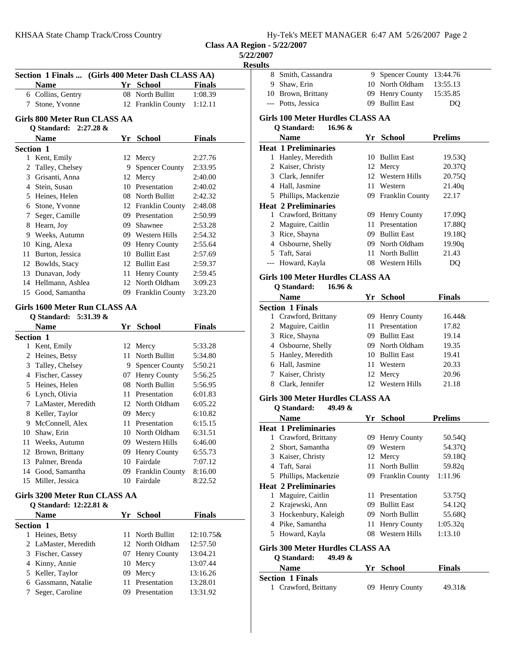| Hy-Tek's MEET MANAGER 6:47 AM 5/26/2007 Page 2 |  |  |  |  |  |  |  |
|------------------------------------------------|--|--|--|--|--|--|--|
|------------------------------------------------|--|--|--|--|--|--|--|

**Class AA Region - 5/22/2007**

**5/22/2007**

**Results**

 $\overline{\phantom{a}}$ 

|                              | Section 1 Finals  (Girls 400 Meter Dash CLASS AA)      |    |                                     |               |  |  |  |
|------------------------------|--------------------------------------------------------|----|-------------------------------------|---------------|--|--|--|
|                              | <b>Name</b>                                            |    | Yr School                           | <b>Finals</b> |  |  |  |
|                              | 6 Collins, Gentry                                      |    | 08 North Bullitt                    | 1:08.39       |  |  |  |
|                              | 7 Stone, Yvonne                                        |    | 12 Franklin County 1:12.11          |               |  |  |  |
| Girls 800 Meter Run CLASS AA |                                                        |    |                                     |               |  |  |  |
|                              | $2:27.28$ &<br>Q Standard:                             |    |                                     |               |  |  |  |
|                              | <b>Name</b>                                            |    | Yr School                           | <b>Finals</b> |  |  |  |
|                              | Section 1                                              |    |                                     |               |  |  |  |
|                              | 1 Kent, Emily                                          |    | 12 Mercy                            | 2:27.76       |  |  |  |
|                              | 2 Talley, Chelsey                                      |    | 9 Spencer County                    | 2:33.95       |  |  |  |
|                              | 3 Grisanti, Anna                                       |    | 12 Mercy                            | 2:40.00       |  |  |  |
|                              | 4 Stein, Susan                                         |    | 10 Presentation                     | 2:40.02       |  |  |  |
|                              | 5 Heines, Helen                                        |    | 08 North Bullitt                    | 2:42.32       |  |  |  |
|                              | 6 Stone, Yvonne                                        |    | 12 Franklin County                  | 2:48.08       |  |  |  |
|                              | 7 Seger, Camille                                       |    | 09 Presentation                     | 2:50.99       |  |  |  |
|                              | 8 Hearn, Joy                                           |    | 09 Shawnee                          | 2:53.28       |  |  |  |
|                              | 9 Weeks, Autumn                                        |    | 09 Western Hills                    | 2:54.32       |  |  |  |
|                              | 10 King, Alexa                                         |    | 09 Henry County                     | 2:55.64       |  |  |  |
|                              | 11 Burton, Jessica                                     |    | 10 Bullitt East                     | 2:57.69       |  |  |  |
|                              | 12 Bowlds, Stacy                                       |    | 12 Bullitt East                     | 2:59.37       |  |  |  |
|                              | 13 Dunavan, Jody                                       |    | 11 Henry County                     | 2:59.45       |  |  |  |
|                              | 14 Hellmann, Ashlea                                    |    | 12 North Oldham                     | 3:09.23       |  |  |  |
|                              | 15 Good, Samantha                                      |    | 09 Franklin County                  | 3:23.20       |  |  |  |
|                              | Girls 1600 Meter Run CLASS AA<br>Q Standard: 5:31.39 & |    |                                     |               |  |  |  |
|                              | <b>Name</b>                                            |    | Yr School                           | Finals        |  |  |  |
|                              | Section 1                                              |    |                                     |               |  |  |  |
|                              | 1 Kent, Emily                                          |    | 12 Mercy                            | 5:33.28       |  |  |  |
|                              | 2 Heines, Betsy                                        |    | 11 North Bullitt                    | 5:34.80       |  |  |  |
|                              |                                                        |    |                                     |               |  |  |  |
|                              |                                                        |    |                                     | 5:50.21       |  |  |  |
|                              | 3 Talley, Chelsey<br>4 Fischer, Cassey                 |    | 9 Spencer County<br>07 Henry County | 5:56.25       |  |  |  |
|                              | 5 Heines, Helen                                        |    | 08 North Bullitt                    | 5:56.95       |  |  |  |
|                              | 6 Lynch, Olivia                                        |    | 11 Presentation                     | 6:01.83       |  |  |  |
|                              | 7 LaMaster, Meredith                                   |    | 12 North Oldham                     | 6:05.22       |  |  |  |
|                              | 8 Keller, Taylor                                       |    | 09 Mercy                            | 6:10.82       |  |  |  |
|                              | 9 McConnell, Alex                                      |    | 11 Presentation                     | 6:15.15       |  |  |  |
|                              | 10 Shaw, Erin                                          |    | 10 North Oldham                     | 6:31.51       |  |  |  |
|                              | 11 Weeks, Autumn                                       |    | 09 Western Hills                    | 6:46.00       |  |  |  |
|                              | 12 Brown, Brittany                                     |    | 09 Henry County                     | 6:55.73       |  |  |  |
|                              | 13 Palmer, Brenda                                      |    | 10 Fairdale                         | 7:07.12       |  |  |  |
|                              | 14 Good, Samantha                                      |    | 09 Franklin County                  | 8:16.00       |  |  |  |
|                              | 15 Miller, Jessica                                     |    | 10 Fairdale                         | 8:22.52       |  |  |  |
|                              | Girls 3200 Meter Run CLASS AA                          |    |                                     |               |  |  |  |
|                              | Q Standard: 12:22.81 &                                 |    |                                     |               |  |  |  |
|                              | Name                                                   |    | Yr School                           | <b>Finals</b> |  |  |  |
|                              | Section 1                                              |    |                                     |               |  |  |  |
| 1                            | Heines, Betsy                                          | 11 | North Bullitt                       | 12:10.75&     |  |  |  |
|                              | 2 LaMaster, Meredith                                   |    | 12 North Oldham                     | 12:57.50      |  |  |  |
|                              | 3 Fischer, Cassey                                      |    | 07 Henry County                     | 13:04.21      |  |  |  |
|                              | 4 Kinny, Annie                                         |    | 10 Mercy                            | 13:07.44      |  |  |  |
|                              | 5 Keller, Taylor                                       |    | 09 Mercy                            | 13:16.26      |  |  |  |
|                              | 6 Gassmann, Natalie                                    |    | 11 Presentation                     | 13:28.01      |  |  |  |

| ılts |                                                            |    |                                    |                  |
|------|------------------------------------------------------------|----|------------------------------------|------------------|
|      | 8 Smith, Cassandra                                         |    | 9 Spencer County 13:44.76          |                  |
|      | 9 Shaw, Erin                                               |    | 10 North Oldham                    | 13:55.13         |
|      | 10 Brown, Brittany                                         |    | 09 Henry County                    | 15:35.85         |
|      | --- Potts, Jessica                                         |    | 09 Bullitt East                    | DQ               |
|      | Girls 100 Meter Hurdles CLASS AA<br>Q Standard:<br>16.96 & |    |                                    |                  |
|      | <b>Name</b>                                                |    | Yr School                          | <b>Prelims</b>   |
|      | <b>Heat 1 Preliminaries</b>                                |    |                                    |                  |
|      | 1 Hanley, Meredith                                         |    | 10 Bullitt East                    | 19.53Q           |
|      | 2 Kaiser, Christy                                          |    | 12 Mercy                           | 20.37Q           |
|      | 3 Clark, Jennifer                                          |    | 12 Western Hills                   | 20.75Q           |
|      | 4 Hall, Jasmine                                            |    | 11 Western                         | 21.40q           |
|      | 5 Phillips, Mackenzie                                      |    | 09 Franklin County                 | 22.17            |
|      | <b>Heat 2 Preliminaries</b>                                |    |                                    |                  |
|      | 1 Crawford, Brittany                                       |    | 09 Henry County                    | 17.09Q           |
|      | 2 Maguire, Caitlin                                         |    | 11 Presentation                    | 17.88Q           |
|      | 3 Rice, Shayna                                             |    | 09 Bullitt East                    | 19.18Q           |
|      | 4 Osbourne, Shelly                                         |    | 09 North Oldham                    | 19.90q           |
|      | 5 Taft, Sarai                                              |    | 11 North Bullitt                   | 21.43            |
|      | --- Howard, Kayla                                          |    | 08 Western Hills                   | DQ               |
|      | Girls 100 Meter Hurdles CLASS AA                           |    |                                    |                  |
|      | 16.96 &<br>Q Standard:                                     |    |                                    |                  |
|      | <b>Name</b>                                                |    | Yr School                          | <b>Finals</b>    |
|      | <b>Section 1 Finals</b>                                    |    |                                    |                  |
|      | 1 Crawford, Brittany                                       |    | 09 Henry County                    | 16.44&           |
|      | 2 Maguire, Caitlin                                         |    | 11 Presentation                    | 17.82            |
|      | 3 Rice, Shayna                                             |    | 09 Bullitt East                    | 19.14            |
|      | 4 Osbourne, Shelly                                         |    | 09 North Oldham<br>10 Bullitt East | 19.35            |
|      | 5 Hanley, Meredith<br>6 Hall, Jasmine                      |    | 11 Western                         | 19.41<br>20.33   |
|      | 7 Kaiser, Christy                                          |    | 12 Mercy                           | 20.96            |
|      | 8 Clark, Jennifer                                          |    | 12 Western Hills                   | 21.18            |
|      |                                                            |    |                                    |                  |
|      | Girls 300 Meter Hurdles CLASS AA                           |    |                                    |                  |
|      | Q Standard:<br>49.49 &                                     |    |                                    |                  |
|      | <b>Name</b>                                                |    | Yr School                          | <b>Prelims</b>   |
|      | <b>Heat 1 Preliminaries</b>                                |    |                                    |                  |
|      | 1 Crawford, Brittany<br>2 Short, Samantha                  |    | 09 Henry County<br>09 Western      | 50.54Q           |
|      | 3 Kaiser, Christy                                          |    | 12 Mercy                           | 54.37Q<br>59.18Q |
|      | 4 Taft, Sarai                                              |    | 11 North Bullitt                   | 59.82q           |
|      | 5 Phillips, Mackenzie                                      |    | 09 Franklin County                 | 1:11.96          |
|      | <b>Heat 2 Preliminaries</b>                                |    |                                    |                  |
|      | 1 Maguire, Caitlin                                         |    | 11 Presentation                    | 53.75Q           |
|      | 2 Krajewski, Ann                                           |    | 09 Bullitt East                    | 54.12Q           |
|      | 3 Hockenbury, Kaleigh                                      |    | 09 North Bullitt                   | 55.68Q           |
|      | 4 Pike, Samantha                                           | 11 | Henry County                       | 1:05.32q         |
|      | 5 Howard, Kayla                                            |    | 08 Western Hills                   | 1:13.10          |
|      | Girls 300 Meter Hurdles CLASS AA                           |    |                                    |                  |
|      | Q Standard:<br>49.49 $\&$                                  |    |                                    |                  |
|      | <b>Name</b>                                                |    | Yr School                          | <b>Finals</b>    |
|      | <b>Section 1 Finals</b>                                    |    |                                    |                  |
|      | 1 Crawford, Brittany                                       |    | 09 Henry County                    | 49.31&           |
|      |                                                            |    |                                    |                  |
|      |                                                            |    |                                    |                  |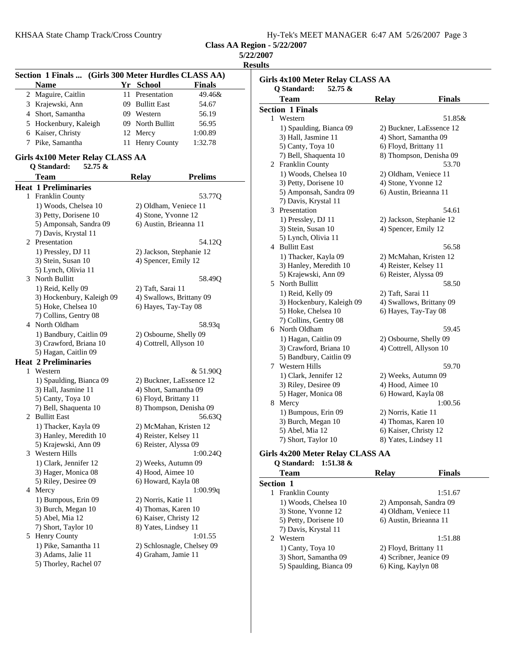| KHSAA State Champ Track/Cross Country | Hy-Tek's MEET MANAGER 6:47 AM 5/26/2007 Page 3 |
|---------------------------------------|------------------------------------------------|
|                                       |                                                |

| 5/22/2007 |
|-----------|
| Results   |

|                               |                                                                                                                                                                                                                                                                                                                                                                                                                                                                                                                                                                                                                                                                                                                                                                                                                                                                                      |                                                                                                                                   | Girls 4x1                                                                                                                                                                                                                                                                                                                                                                                                                                                                                                                                                                                                                                                                                                                                                                                                                                                                                                |
|-------------------------------|--------------------------------------------------------------------------------------------------------------------------------------------------------------------------------------------------------------------------------------------------------------------------------------------------------------------------------------------------------------------------------------------------------------------------------------------------------------------------------------------------------------------------------------------------------------------------------------------------------------------------------------------------------------------------------------------------------------------------------------------------------------------------------------------------------------------------------------------------------------------------------------|-----------------------------------------------------------------------------------------------------------------------------------|----------------------------------------------------------------------------------------------------------------------------------------------------------------------------------------------------------------------------------------------------------------------------------------------------------------------------------------------------------------------------------------------------------------------------------------------------------------------------------------------------------------------------------------------------------------------------------------------------------------------------------------------------------------------------------------------------------------------------------------------------------------------------------------------------------------------------------------------------------------------------------------------------------|
|                               |                                                                                                                                                                                                                                                                                                                                                                                                                                                                                                                                                                                                                                                                                                                                                                                                                                                                                      |                                                                                                                                   | Q Star                                                                                                                                                                                                                                                                                                                                                                                                                                                                                                                                                                                                                                                                                                                                                                                                                                                                                                   |
|                               |                                                                                                                                                                                                                                                                                                                                                                                                                                                                                                                                                                                                                                                                                                                                                                                                                                                                                      |                                                                                                                                   | <b>Tea</b>                                                                                                                                                                                                                                                                                                                                                                                                                                                                                                                                                                                                                                                                                                                                                                                                                                                                                               |
|                               |                                                                                                                                                                                                                                                                                                                                                                                                                                                                                                                                                                                                                                                                                                                                                                                                                                                                                      |                                                                                                                                   | Section 1                                                                                                                                                                                                                                                                                                                                                                                                                                                                                                                                                                                                                                                                                                                                                                                                                                                                                                |
|                               |                                                                                                                                                                                                                                                                                                                                                                                                                                                                                                                                                                                                                                                                                                                                                                                                                                                                                      |                                                                                                                                   | 1 West                                                                                                                                                                                                                                                                                                                                                                                                                                                                                                                                                                                                                                                                                                                                                                                                                                                                                                   |
|                               |                                                                                                                                                                                                                                                                                                                                                                                                                                                                                                                                                                                                                                                                                                                                                                                                                                                                                      |                                                                                                                                   | $1)$ S <sub>1</sub>                                                                                                                                                                                                                                                                                                                                                                                                                                                                                                                                                                                                                                                                                                                                                                                                                                                                                      |
|                               |                                                                                                                                                                                                                                                                                                                                                                                                                                                                                                                                                                                                                                                                                                                                                                                                                                                                                      |                                                                                                                                   | 3) H                                                                                                                                                                                                                                                                                                                                                                                                                                                                                                                                                                                                                                                                                                                                                                                                                                                                                                     |
|                               |                                                                                                                                                                                                                                                                                                                                                                                                                                                                                                                                                                                                                                                                                                                                                                                                                                                                                      |                                                                                                                                   | 5) C                                                                                                                                                                                                                                                                                                                                                                                                                                                                                                                                                                                                                                                                                                                                                                                                                                                                                                     |
|                               |                                                                                                                                                                                                                                                                                                                                                                                                                                                                                                                                                                                                                                                                                                                                                                                                                                                                                      |                                                                                                                                   | $(7)$ B                                                                                                                                                                                                                                                                                                                                                                                                                                                                                                                                                                                                                                                                                                                                                                                                                                                                                                  |
| <b>Q</b> Standard:<br>52.75 & |                                                                                                                                                                                                                                                                                                                                                                                                                                                                                                                                                                                                                                                                                                                                                                                                                                                                                      |                                                                                                                                   | 2 Fran                                                                                                                                                                                                                                                                                                                                                                                                                                                                                                                                                                                                                                                                                                                                                                                                                                                                                                   |
|                               | <b>Relay</b>                                                                                                                                                                                                                                                                                                                                                                                                                                                                                                                                                                                                                                                                                                                                                                                                                                                                         | <b>Prelims</b>                                                                                                                    | $1)$ W                                                                                                                                                                                                                                                                                                                                                                                                                                                                                                                                                                                                                                                                                                                                                                                                                                                                                                   |
| <b>Heat 1 Preliminaries</b>   |                                                                                                                                                                                                                                                                                                                                                                                                                                                                                                                                                                                                                                                                                                                                                                                                                                                                                      |                                                                                                                                   | $3)$ Pe                                                                                                                                                                                                                                                                                                                                                                                                                                                                                                                                                                                                                                                                                                                                                                                                                                                                                                  |
| 1 Franklin County             |                                                                                                                                                                                                                                                                                                                                                                                                                                                                                                                                                                                                                                                                                                                                                                                                                                                                                      | 53.77Q                                                                                                                            | 5) A                                                                                                                                                                                                                                                                                                                                                                                                                                                                                                                                                                                                                                                                                                                                                                                                                                                                                                     |
| 1) Woods, Chelsea 10          |                                                                                                                                                                                                                                                                                                                                                                                                                                                                                                                                                                                                                                                                                                                                                                                                                                                                                      |                                                                                                                                   | 7) D                                                                                                                                                                                                                                                                                                                                                                                                                                                                                                                                                                                                                                                                                                                                                                                                                                                                                                     |
| 3) Petty, Dorisene 10         |                                                                                                                                                                                                                                                                                                                                                                                                                                                                                                                                                                                                                                                                                                                                                                                                                                                                                      |                                                                                                                                   | 3 Prese                                                                                                                                                                                                                                                                                                                                                                                                                                                                                                                                                                                                                                                                                                                                                                                                                                                                                                  |
| 5) Amponsah, Sandra 09        |                                                                                                                                                                                                                                                                                                                                                                                                                                                                                                                                                                                                                                                                                                                                                                                                                                                                                      |                                                                                                                                   | $1)$ $P1$                                                                                                                                                                                                                                                                                                                                                                                                                                                                                                                                                                                                                                                                                                                                                                                                                                                                                                |
| 7) Davis, Krystal 11          |                                                                                                                                                                                                                                                                                                                                                                                                                                                                                                                                                                                                                                                                                                                                                                                                                                                                                      |                                                                                                                                   | $3)$ St                                                                                                                                                                                                                                                                                                                                                                                                                                                                                                                                                                                                                                                                                                                                                                                                                                                                                                  |
| 2 Presentation                |                                                                                                                                                                                                                                                                                                                                                                                                                                                                                                                                                                                                                                                                                                                                                                                                                                                                                      | 54.12O                                                                                                                            | 5) L<br>4 Bulli                                                                                                                                                                                                                                                                                                                                                                                                                                                                                                                                                                                                                                                                                                                                                                                                                                                                                          |
| 1) Pressley, DJ 11            |                                                                                                                                                                                                                                                                                                                                                                                                                                                                                                                                                                                                                                                                                                                                                                                                                                                                                      |                                                                                                                                   | $1)$ T                                                                                                                                                                                                                                                                                                                                                                                                                                                                                                                                                                                                                                                                                                                                                                                                                                                                                                   |
| 3) Stein, Susan 10            |                                                                                                                                                                                                                                                                                                                                                                                                                                                                                                                                                                                                                                                                                                                                                                                                                                                                                      |                                                                                                                                   | $3)$ H                                                                                                                                                                                                                                                                                                                                                                                                                                                                                                                                                                                                                                                                                                                                                                                                                                                                                                   |
| 5) Lynch, Olivia 11           |                                                                                                                                                                                                                                                                                                                                                                                                                                                                                                                                                                                                                                                                                                                                                                                                                                                                                      |                                                                                                                                   | 5) K                                                                                                                                                                                                                                                                                                                                                                                                                                                                                                                                                                                                                                                                                                                                                                                                                                                                                                     |
|                               |                                                                                                                                                                                                                                                                                                                                                                                                                                                                                                                                                                                                                                                                                                                                                                                                                                                                                      |                                                                                                                                   | 5 Nort                                                                                                                                                                                                                                                                                                                                                                                                                                                                                                                                                                                                                                                                                                                                                                                                                                                                                                   |
|                               |                                                                                                                                                                                                                                                                                                                                                                                                                                                                                                                                                                                                                                                                                                                                                                                                                                                                                      |                                                                                                                                   | 1) R                                                                                                                                                                                                                                                                                                                                                                                                                                                                                                                                                                                                                                                                                                                                                                                                                                                                                                     |
|                               |                                                                                                                                                                                                                                                                                                                                                                                                                                                                                                                                                                                                                                                                                                                                                                                                                                                                                      |                                                                                                                                   | 3) H                                                                                                                                                                                                                                                                                                                                                                                                                                                                                                                                                                                                                                                                                                                                                                                                                                                                                                     |
|                               |                                                                                                                                                                                                                                                                                                                                                                                                                                                                                                                                                                                                                                                                                                                                                                                                                                                                                      |                                                                                                                                   | 5) H                                                                                                                                                                                                                                                                                                                                                                                                                                                                                                                                                                                                                                                                                                                                                                                                                                                                                                     |
|                               |                                                                                                                                                                                                                                                                                                                                                                                                                                                                                                                                                                                                                                                                                                                                                                                                                                                                                      |                                                                                                                                   | 7) C                                                                                                                                                                                                                                                                                                                                                                                                                                                                                                                                                                                                                                                                                                                                                                                                                                                                                                     |
|                               |                                                                                                                                                                                                                                                                                                                                                                                                                                                                                                                                                                                                                                                                                                                                                                                                                                                                                      |                                                                                                                                   | 6 Nort                                                                                                                                                                                                                                                                                                                                                                                                                                                                                                                                                                                                                                                                                                                                                                                                                                                                                                   |
|                               |                                                                                                                                                                                                                                                                                                                                                                                                                                                                                                                                                                                                                                                                                                                                                                                                                                                                                      |                                                                                                                                   | $1)$ H                                                                                                                                                                                                                                                                                                                                                                                                                                                                                                                                                                                                                                                                                                                                                                                                                                                                                                   |
|                               |                                                                                                                                                                                                                                                                                                                                                                                                                                                                                                                                                                                                                                                                                                                                                                                                                                                                                      |                                                                                                                                   | $3)$ C                                                                                                                                                                                                                                                                                                                                                                                                                                                                                                                                                                                                                                                                                                                                                                                                                                                                                                   |
|                               |                                                                                                                                                                                                                                                                                                                                                                                                                                                                                                                                                                                                                                                                                                                                                                                                                                                                                      |                                                                                                                                   | 5) B:                                                                                                                                                                                                                                                                                                                                                                                                                                                                                                                                                                                                                                                                                                                                                                                                                                                                                                    |
|                               |                                                                                                                                                                                                                                                                                                                                                                                                                                                                                                                                                                                                                                                                                                                                                                                                                                                                                      |                                                                                                                                   | 7 West                                                                                                                                                                                                                                                                                                                                                                                                                                                                                                                                                                                                                                                                                                                                                                                                                                                                                                   |
|                               |                                                                                                                                                                                                                                                                                                                                                                                                                                                                                                                                                                                                                                                                                                                                                                                                                                                                                      |                                                                                                                                   | $1)$ C                                                                                                                                                                                                                                                                                                                                                                                                                                                                                                                                                                                                                                                                                                                                                                                                                                                                                                   |
|                               |                                                                                                                                                                                                                                                                                                                                                                                                                                                                                                                                                                                                                                                                                                                                                                                                                                                                                      |                                                                                                                                   | $3)$ Ri                                                                                                                                                                                                                                                                                                                                                                                                                                                                                                                                                                                                                                                                                                                                                                                                                                                                                                  |
|                               |                                                                                                                                                                                                                                                                                                                                                                                                                                                                                                                                                                                                                                                                                                                                                                                                                                                                                      |                                                                                                                                   | 5) H                                                                                                                                                                                                                                                                                                                                                                                                                                                                                                                                                                                                                                                                                                                                                                                                                                                                                                     |
|                               |                                                                                                                                                                                                                                                                                                                                                                                                                                                                                                                                                                                                                                                                                                                                                                                                                                                                                      |                                                                                                                                   | 8 Merc                                                                                                                                                                                                                                                                                                                                                                                                                                                                                                                                                                                                                                                                                                                                                                                                                                                                                                   |
|                               |                                                                                                                                                                                                                                                                                                                                                                                                                                                                                                                                                                                                                                                                                                                                                                                                                                                                                      |                                                                                                                                   | $1)$ B                                                                                                                                                                                                                                                                                                                                                                                                                                                                                                                                                                                                                                                                                                                                                                                                                                                                                                   |
|                               |                                                                                                                                                                                                                                                                                                                                                                                                                                                                                                                                                                                                                                                                                                                                                                                                                                                                                      |                                                                                                                                   | $(3)$ B                                                                                                                                                                                                                                                                                                                                                                                                                                                                                                                                                                                                                                                                                                                                                                                                                                                                                                  |
|                               |                                                                                                                                                                                                                                                                                                                                                                                                                                                                                                                                                                                                                                                                                                                                                                                                                                                                                      |                                                                                                                                   | $5)$ A                                                                                                                                                                                                                                                                                                                                                                                                                                                                                                                                                                                                                                                                                                                                                                                                                                                                                                   |
|                               |                                                                                                                                                                                                                                                                                                                                                                                                                                                                                                                                                                                                                                                                                                                                                                                                                                                                                      |                                                                                                                                   | 7) Sl                                                                                                                                                                                                                                                                                                                                                                                                                                                                                                                                                                                                                                                                                                                                                                                                                                                                                                    |
|                               |                                                                                                                                                                                                                                                                                                                                                                                                                                                                                                                                                                                                                                                                                                                                                                                                                                                                                      |                                                                                                                                   |                                                                                                                                                                                                                                                                                                                                                                                                                                                                                                                                                                                                                                                                                                                                                                                                                                                                                                          |
|                               |                                                                                                                                                                                                                                                                                                                                                                                                                                                                                                                                                                                                                                                                                                                                                                                                                                                                                      |                                                                                                                                   | Girls 4x2                                                                                                                                                                                                                                                                                                                                                                                                                                                                                                                                                                                                                                                                                                                                                                                                                                                                                                |
|                               |                                                                                                                                                                                                                                                                                                                                                                                                                                                                                                                                                                                                                                                                                                                                                                                                                                                                                      |                                                                                                                                   | Q Star                                                                                                                                                                                                                                                                                                                                                                                                                                                                                                                                                                                                                                                                                                                                                                                                                                                                                                   |
|                               |                                                                                                                                                                                                                                                                                                                                                                                                                                                                                                                                                                                                                                                                                                                                                                                                                                                                                      |                                                                                                                                   | Tea                                                                                                                                                                                                                                                                                                                                                                                                                                                                                                                                                                                                                                                                                                                                                                                                                                                                                                      |
|                               |                                                                                                                                                                                                                                                                                                                                                                                                                                                                                                                                                                                                                                                                                                                                                                                                                                                                                      |                                                                                                                                   | Section 1                                                                                                                                                                                                                                                                                                                                                                                                                                                                                                                                                                                                                                                                                                                                                                                                                                                                                                |
|                               |                                                                                                                                                                                                                                                                                                                                                                                                                                                                                                                                                                                                                                                                                                                                                                                                                                                                                      |                                                                                                                                   | 1 Fran                                                                                                                                                                                                                                                                                                                                                                                                                                                                                                                                                                                                                                                                                                                                                                                                                                                                                                   |
|                               |                                                                                                                                                                                                                                                                                                                                                                                                                                                                                                                                                                                                                                                                                                                                                                                                                                                                                      |                                                                                                                                   | $1)$ W                                                                                                                                                                                                                                                                                                                                                                                                                                                                                                                                                                                                                                                                                                                                                                                                                                                                                                   |
|                               |                                                                                                                                                                                                                                                                                                                                                                                                                                                                                                                                                                                                                                                                                                                                                                                                                                                                                      |                                                                                                                                   | $3)$ St                                                                                                                                                                                                                                                                                                                                                                                                                                                                                                                                                                                                                                                                                                                                                                                                                                                                                                  |
|                               |                                                                                                                                                                                                                                                                                                                                                                                                                                                                                                                                                                                                                                                                                                                                                                                                                                                                                      |                                                                                                                                   | 5) Pe                                                                                                                                                                                                                                                                                                                                                                                                                                                                                                                                                                                                                                                                                                                                                                                                                                                                                                    |
|                               |                                                                                                                                                                                                                                                                                                                                                                                                                                                                                                                                                                                                                                                                                                                                                                                                                                                                                      |                                                                                                                                   | 7) D                                                                                                                                                                                                                                                                                                                                                                                                                                                                                                                                                                                                                                                                                                                                                                                                                                                                                                     |
|                               |                                                                                                                                                                                                                                                                                                                                                                                                                                                                                                                                                                                                                                                                                                                                                                                                                                                                                      |                                                                                                                                   | 2 West                                                                                                                                                                                                                                                                                                                                                                                                                                                                                                                                                                                                                                                                                                                                                                                                                                                                                                   |
|                               |                                                                                                                                                                                                                                                                                                                                                                                                                                                                                                                                                                                                                                                                                                                                                                                                                                                                                      |                                                                                                                                   | $1)$ C                                                                                                                                                                                                                                                                                                                                                                                                                                                                                                                                                                                                                                                                                                                                                                                                                                                                                                   |
|                               |                                                                                                                                                                                                                                                                                                                                                                                                                                                                                                                                                                                                                                                                                                                                                                                                                                                                                      |                                                                                                                                   | $3)$ Sh                                                                                                                                                                                                                                                                                                                                                                                                                                                                                                                                                                                                                                                                                                                                                                                                                                                                                                  |
|                               | <b>Name</b><br>2 Maguire, Caitlin<br>3 Krajewski, Ann<br>4 Short, Samantha<br>5 Hockenbury, Kaleigh<br>6 Kaiser, Christy<br>7 Pike, Samantha<br><b>Team</b><br>3 North Bullitt<br>1) Reid, Kelly 09<br>3) Hockenbury, Kaleigh 09<br>5) Hoke, Chelsea 10<br>7) Collins, Gentry 08<br>4 North Oldham<br>1) Bandbury, Caitlin 09<br>3) Crawford, Briana 10<br>5) Hagan, Caitlin 09<br><b>Heat 2 Preliminaries</b><br>1 Western<br>1) Spaulding, Bianca 09<br>3) Hall, Jasmine 11<br>5) Canty, Toya 10<br>7) Bell, Shaquenta 10<br>2 Bullitt East<br>1) Thacker, Kayla 09<br>3) Hanley, Meredith 10<br>5) Krajewski, Ann 09<br>3 Western Hills<br>1) Clark, Jennifer 12<br>3) Hager, Monica 08<br>5) Riley, Desiree 09<br>4 Mercy<br>1) Bumpous, Erin 09<br>3) Burch, Megan 10<br>5) Abel, Mia 12<br>7) Short, Taylor 10<br>5 Henry County<br>1) Pike, Samantha 11<br>3) Adams, Jalie 11 | Yr School<br>11 Presentation<br>09 Bullitt East<br>09 Western<br>09 North Bullitt<br>12 Mercy<br>Girls 4x100 Meter Relay CLASS AA | Section 1 Finals  (Girls 300 Meter Hurdles CLASS AA)<br><b>Finals</b><br>49.46&<br>54.67<br>56.19<br>56.95<br>1:00.89<br>11 Henry County<br>1:32.78<br>2) Oldham, Veniece 11<br>4) Stone, Yvonne 12<br>6) Austin, Brieanna 11<br>2) Jackson, Stephanie 12<br>4) Spencer, Emily 12<br>58.49Q<br>2) Taft, Sarai 11<br>4) Swallows, Brittany 09<br>6) Hayes, Tay-Tay 08<br>58.93q<br>2) Osbourne, Shelly 09<br>4) Cottrell, Allyson 10<br>& 51.90Q<br>2) Buckner, LaEssence 12<br>4) Short, Samantha 09<br>6) Floyd, Brittany 11<br>8) Thompson, Denisha 09<br>56.63Q<br>2) McMahan, Kristen 12<br>4) Reister, Kelsey 11<br>6) Reister, Alyssa 09<br>1:00.24Q<br>2) Weeks, Autumn 09<br>4) Hood, Aimee 10<br>6) Howard, Kayla 08<br>1:00.99q<br>2) Norris, Katie 11<br>4) Thomas, Karen 10<br>6) Kaiser, Christy 12<br>8) Yates, Lindsey 11<br>1:01.55<br>2) Schlosnagle, Chelsey 09<br>4) Graham, Jamie 11 |

| <b>Section 1 Finals</b><br>Western<br>1<br>1) Spaulding, Bianca 09<br>3) Hall, Jasmine 11 |                          |         |
|-------------------------------------------------------------------------------------------|--------------------------|---------|
|                                                                                           |                          |         |
|                                                                                           |                          | 51.85&  |
|                                                                                           | 2) Buckner, LaEssence 12 |         |
|                                                                                           | 4) Short, Samantha 09    |         |
| 5) Canty, Toya 10                                                                         | 6) Floyd, Brittany 11    |         |
| 7) Bell, Shaquenta 10                                                                     | 8) Thompson, Denisha 09  |         |
| 2 Franklin County                                                                         |                          | 53.70   |
| 1) Woods, Chelsea 10                                                                      | 2) Oldham, Veniece 11    |         |
| 3) Petty, Dorisene 10                                                                     | 4) Stone, Yvonne 12      |         |
| 5) Amponsah, Sandra 09                                                                    | 6) Austin, Brieanna 11   |         |
| 7) Davis, Krystal 11                                                                      |                          |         |
| Presentation<br>3                                                                         |                          | 54.61   |
| 1) Pressley, DJ 11                                                                        | 2) Jackson, Stephanie 12 |         |
| 3) Stein, Susan 10                                                                        | 4) Spencer, Emily 12     |         |
| 5) Lynch, Olivia 11                                                                       |                          |         |
| 4 Bullitt East                                                                            |                          | 56.58   |
| 1) Thacker, Kayla 09                                                                      | 2) McMahan, Kristen 12   |         |
| 3) Hanley, Meredith 10                                                                    | 4) Reister, Kelsey 11    |         |
| 5) Krajewski, Ann 09                                                                      | 6) Reister, Alyssa 09    |         |
| 5 North Bullitt                                                                           |                          | 58.50   |
| 1) Reid, Kelly 09                                                                         | 2) Taft, Sarai 11        |         |
| 3) Hockenbury, Kaleigh 09                                                                 | 4) Swallows, Brittany 09 |         |
| 5) Hoke, Chelsea 10                                                                       | 6) Hayes, Tay-Tay 08     |         |
| 7) Collins, Gentry 08                                                                     |                          |         |
| North Oldham<br>6                                                                         |                          | 59.45   |
| 1) Hagan, Caitlin 09                                                                      | 2) Osbourne, Shelly 09   |         |
| 3) Crawford, Briana 10                                                                    | 4) Cottrell, Allyson 10  |         |
| 5) Bandbury, Caitlin 09                                                                   |                          |         |
| 7 Western Hills                                                                           |                          | 59.70   |
| 1) Clark, Jennifer 12                                                                     | 2) Weeks, Autumn 09      |         |
| 3) Riley, Desiree 09                                                                      | 4) Hood, Aimee 10        |         |
| 5) Hager, Monica 08                                                                       | 6) Howard, Kayla 08      |         |
| 8 Mercy                                                                                   |                          | 1:00.56 |
| 1) Bumpous, Erin 09                                                                       | 2) Norris, Katie 11      |         |
| 3) Burch, Megan 10                                                                        | 4) Thomas, Karen 10      |         |
| 5) Abel, Mia 12                                                                           | 6) Kaiser, Christy 12    |         |
| 7) Short, Taylor 10                                                                       | 8) Yates, Lindsey 11     |         |

|   | ction 1                 |                         |  |  |  |  |  |  |  |
|---|-------------------------|-------------------------|--|--|--|--|--|--|--|
| 1 | <b>Franklin County</b>  | 1:51.67                 |  |  |  |  |  |  |  |
|   | 1) Woods, Chelsea 10    | 2) Amponsah, Sandra 09  |  |  |  |  |  |  |  |
|   | 3) Stone, Yvonne 12     | 4) Oldham, Veniece 11   |  |  |  |  |  |  |  |
|   | 5) Petty, Dorisene 10   | 6) Austin, Brieanna 11  |  |  |  |  |  |  |  |
|   | 7) Davis, Krystal 11    |                         |  |  |  |  |  |  |  |
|   | Western                 | 1:51.88                 |  |  |  |  |  |  |  |
|   | 1) Canty, Toya 10       | 2) Floyd, Brittany 11   |  |  |  |  |  |  |  |
|   | 3) Short, Samantha 09   | 4) Scribner, Jeanice 09 |  |  |  |  |  |  |  |
|   | 5) Spaulding, Bianca 09 | 6) King, Kaylyn 08      |  |  |  |  |  |  |  |
|   |                         |                         |  |  |  |  |  |  |  |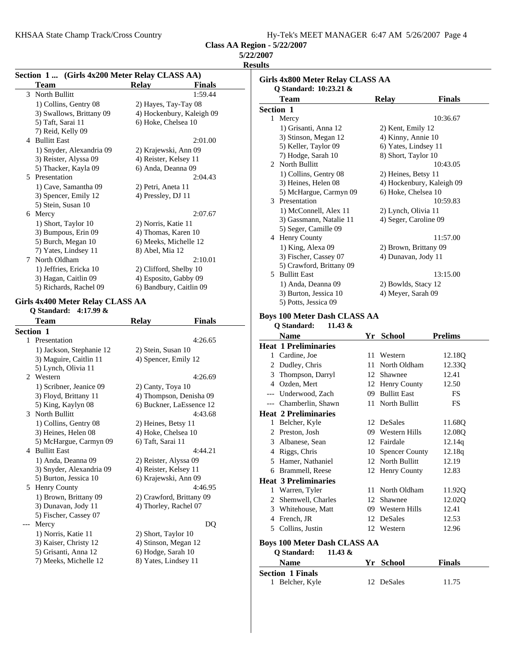KHSAA State Champ Track/Cross Country Hy-Tek's MEET MANAGER 6:47 AM 5/26/2007 Page 4

**Class AA Region - 5/22/2007**

| <i><b>5/22/2007</b></i> |  |
|-------------------------|--|
|                         |  |

**Results**

| Section 1  (Girls 4x200 Meter Relay CLASS AA) |                           | results<br>Girls 4x800 Meter Relay CLASS AA          |                           |                |
|-----------------------------------------------|---------------------------|------------------------------------------------------|---------------------------|----------------|
| <b>Team</b><br>3 North Bullitt                | Relay                     | Finals<br>Q Standard: 10:23.21 &<br>1:59.44          |                           |                |
| 1) Collins, Gentry 08                         | 2) Hayes, Tay-Tay 08      | <b>Team</b>                                          | <b>Relay</b>              | <b>Finals</b>  |
| 3) Swallows, Brittany 09                      | 4) Hockenbury, Kaleigh 09 | Section 1                                            |                           |                |
| 5) Taft, Sarai 11                             | 6) Hoke, Chelsea 10       | 1 Mercy                                              |                           | 10:36.67       |
| 7) Reid, Kelly 09                             |                           | 1) Grisanti, Anna 12                                 | 2) Kent, Emily 12         |                |
| 4 Bullitt East                                |                           | 3) Stinson, Megan 12<br>2:01.00                      | 4) Kinny, Annie 10        |                |
| 1) Snyder, Alexandria 09                      | 2) Krajewski, Ann 09      | 5) Keller, Taylor 09                                 | 6) Yates, Lindsey 11      |                |
| 3) Reister, Alyssa 09                         | 4) Reister, Kelsey 11     | 7) Hodge, Sarah 10                                   | 8) Short, Taylor 10       |                |
| 5) Thacker, Kayla 09                          | 6) Anda, Deanna 09        | 2 North Bullitt                                      |                           | 10:43.05       |
| 5 Presentation                                |                           | 1) Collins, Gentry 08<br>2:04.43                     | 2) Heines, Betsy 11       |                |
| 1) Cave, Samantha 09                          | 2) Petri, Aneta 11        | 3) Heines, Helen 08                                  | 4) Hockenbury, Kaleigh 09 |                |
| 3) Spencer, Emily 12                          | 4) Pressley, DJ 11        | 5) McHargue, Carmyn 09                               | 6) Hoke, Chelsea 10       |                |
| 5) Stein, Susan 10                            |                           | 3 Presentation                                       |                           | 10:59.83       |
| 6 Mercy                                       |                           | 1) McConnell, Alex 11<br>2:07.67                     | 2) Lynch, Olivia 11       |                |
| 1) Short, Taylor 10                           | 2) Norris, Katie 11       | 3) Gassmann, Natalie 11                              | 4) Seger, Caroline 09     |                |
| 3) Bumpous, Erin 09                           | 4) Thomas, Karen 10       | 5) Seger, Camille 09                                 |                           |                |
| 5) Burch, Megan 10                            | 6) Meeks, Michelle 12     | 4 Henry County                                       |                           | 11:57.00       |
| 7) Yates, Lindsey 11                          | 8) Abel, Mia 12           | 1) King, Alexa 09                                    | 2) Brown, Brittany 09     |                |
| 7 North Oldham                                |                           | 3) Fischer, Cassey 07<br>2:10.01                     | 4) Dunavan, Jody 11       |                |
| 1) Jeffries, Ericka 10                        | 2) Clifford, Shelby 10    | 5) Crawford, Brittany 09                             |                           |                |
| 3) Hagan, Caitlin 09                          | 4) Esposito, Gabby 09     | 5 Bullitt East                                       |                           | 13:15.00       |
| 5) Richards, Rachel 09                        | 6) Bandbury, Caitlin 09   | 1) Anda, Deanna 09                                   | 2) Bowlds, Stacy 12       |                |
|                                               |                           | 3) Burton, Jessica 10                                | 4) Meyer, Sarah 09        |                |
| Girls 4x400 Meter Relay CLASS AA              |                           | 5) Potts, Jessica 09                                 |                           |                |
| Q Standard: 4:17.99 &<br><b>Team</b>          | <b>Relay</b>              | <b>Boys 100 Meter Dash CLASS AA</b><br><b>Finals</b> |                           |                |
| Section 1                                     |                           | Q Standard:<br>11.43 $\&$                            |                           |                |
| 1 Presentation                                |                           | <b>Name</b><br>4:26.65                               | Yr School                 | <b>Prelims</b> |
| 1) Jackson, Stephanie 12                      | 2) Stein, Susan 10        | <b>Heat 1 Preliminaries</b>                          |                           |                |
| 3) Maguire, Caitlin 11                        | 4) Spencer, Emily 12      | 1 Cardine, Joe                                       | 11 Western                | 12.18Q         |
| 5) Lynch, Olivia 11                           |                           | 2 Dudley, Chris                                      | 11 North Oldham           | 12.33Q         |
| 2 Western                                     |                           | Thompson, Darryl<br>3<br>4:26.69                     | 12 Shawnee                | 12.41          |
| 1) Scribner, Jeanice 09                       | 2) Canty, Toya 10         | 4 Ozden, Mert                                        | 12 Henry County           | 12.50          |
| 3) Floyd, Brittany 11                         | 4) Thompson, Denisha 09   | Underwood, Zach<br>---                               | 09 Bullitt East           | FS             |
| 5) King, Kaylyn 08                            | 6) Buckner, LaEssence 12  | --- Chamberlin, Shawn                                | 11 North Bullitt          | FS             |
| 3 North Bullitt                               |                           | <b>Heat 2 Preliminaries</b><br>4:43.68               |                           |                |
| 1) Collins, Gentry 08                         | 2) Heines, Betsy 11       | 1 Belcher, Kyle                                      | 12 DeSales                | 11.68Q         |
| 3) Heines, Helen 08                           | 4) Hoke, Chelsea 10       | 2 Preston, Josh                                      | 09 Western Hills          | 12.08Q         |
| 5) McHargue, Carmyn 09                        | 6) Taft, Sarai 11         | 3 Albanese, Sean                                     | 12 Fairdale               | 12.14q         |
| 4 Bullitt East                                |                           | 4:44.21<br>4 Riggs, Chris                            | 10 Spencer County         | 12.18q         |
| 1) Anda, Deanna 09                            | 2) Reister, Alyssa 09     | 5 Hamer, Nathaniel                                   | 12 North Bullitt          | 12.19          |
| 3) Snyder, Alexandria 09                      | 4) Reister, Kelsey 11     | 6 Brammell, Reese                                    | 12 Henry County           | 12.83          |
| 5) Burton, Jessica 10                         | 6) Krajewski, Ann 09      | <b>Heat 3 Preliminaries</b>                          |                           |                |
| 5 Henry County                                |                           | 4:46.95                                              | 11 North Oldham           | 11.92Q         |
| 1) Brown, Brittany 09                         | 2) Crawford, Brittany 09  | 1 Warren, Tyler                                      |                           |                |
| 3) Dunavan, Jody 11                           | 4) Thorley, Rachel 07     | 2 Shemwell, Charles                                  | 12 Shawnee                | 12.02Q         |
| 5) Fischer, Cassey 07                         |                           | 3 Whitehouse, Matt                                   | 09 Western Hills          | 12.41          |
| --- Mercy                                     |                           | 4 French, JR<br>DQ                                   | 12 DeSales                | 12.53          |
| 1) Norris, Katie 11                           | 2) Short, Taylor 10       | 5 Collins, Justin                                    | 12 Western                | 12.96          |
| 3) Kaiser, Christy 12                         | 4) Stinson, Megan 12      | <b>Boys 100 Meter Dash CLASS AA</b>                  |                           |                |
| 5) Grisanti, Anna 12                          | 6) Hodge, Sarah 10        | Q Standard:<br>11.43 $\&$                            |                           |                |
| 7) Meeks, Michelle 12                         | 8) Yates, Lindsey 11      | <b>Name</b>                                          | Yr School                 | <b>Finals</b>  |
|                                               |                           |                                                      |                           |                |
|                                               |                           |                                                      |                           |                |
|                                               |                           | <b>Section 1 Finals</b><br>1 Belcher, Kyle           | 12 DeSales                | 11.75          |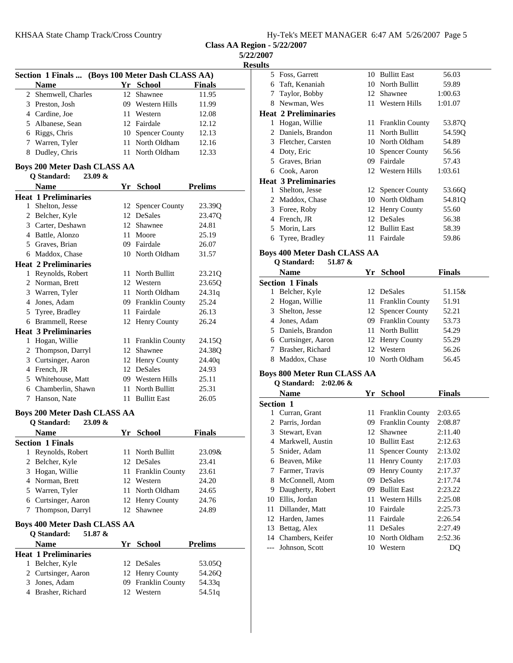**Class AA Region - 5/22/2007**

**5/22/2007**

**Results**

|   | Section 1 Finals  (Boys 100 Meter Dash CLASS AA) |      |                                  |                  |  |  |
|---|--------------------------------------------------|------|----------------------------------|------------------|--|--|
|   | Name                                             |      | Yr School                        | Finals           |  |  |
|   | 2 Shemwell, Charles                              | 12   | Shawnee                          | 11.95            |  |  |
|   | 3 Preston, Josh                                  |      | 09 Western Hills                 | 11.99            |  |  |
|   | 4 Cardine, Joe                                   |      | 11 Western                       | 12.08            |  |  |
|   | 5 Albanese, Sean                                 |      | 12 Fairdale                      | 12.12            |  |  |
|   | 6 Riggs, Chris                                   |      | 10 Spencer County                | 12.13            |  |  |
|   | 7 Warren, Tyler                                  | 11.  | North Oldham                     | 12.16            |  |  |
|   | 8 Dudley, Chris                                  |      | 11 North Oldham                  | 12.33            |  |  |
|   | <b>Boys 200 Meter Dash CLASS AA</b>              |      |                                  |                  |  |  |
|   | <b>Q</b> Standard:<br>23.09 &<br><b>Name</b>     |      |                                  |                  |  |  |
|   | <b>Heat 1 Preliminaries</b>                      |      | Yr School                        | <b>Prelims</b>   |  |  |
|   | 1 Shelton, Jesse                                 | 12   | <b>Spencer County</b>            | 23.39Q           |  |  |
|   | 2 Belcher, Kyle                                  |      | 12 DeSales                       | 23.47Q           |  |  |
|   | 3 Carter, Deshawn                                |      | 12 Shawnee                       | 24.81            |  |  |
|   | 4 Battle, Alonzo                                 |      | 11 Moore                         | 25.19            |  |  |
|   | 5 Graves, Brian                                  |      | 09 Fairdale                      | 26.07            |  |  |
|   | 6 Maddox, Chase                                  |      | 10 North Oldham                  | 31.57            |  |  |
|   | <b>Heat 2 Preliminaries</b>                      |      |                                  |                  |  |  |
|   | 1 Reynolds, Robert                               |      | 11 North Bullitt                 | 23.21Q           |  |  |
|   | 2 Norman, Brett                                  |      | 12 Western                       | 23.65Q           |  |  |
|   | 3 Warren, Tyler                                  |      | 11 North Oldham                  | 24.31q           |  |  |
|   | 4 Jones, Adam                                    |      | 09 Franklin County               | 25.24            |  |  |
|   | 5 Tyree, Bradley                                 |      | 11 Fairdale                      | 26.13            |  |  |
|   | 6 Brammell, Reese                                |      | 12 Henry County                  | 26.24            |  |  |
|   | <b>Heat 3 Preliminaries</b>                      |      |                                  |                  |  |  |
|   | 1 Hogan, Willie                                  |      | 11 Franklin County               | 24.15Q           |  |  |
|   | 2 Thompson, Darryl                               |      | 12 Shawnee                       | 24.38Q           |  |  |
|   | 3 Curtsinger, Aaron                              |      | 12 Henry County                  | 24.40q           |  |  |
|   | 4 French, JR                                     |      | 12 DeSales                       | 24.93            |  |  |
|   | 5 Whitehouse, Matt                               |      | 09 Western Hills                 | 25.11            |  |  |
|   | 6 Chamberlin, Shawn                              |      | 11 North Bullitt                 | 25.31            |  |  |
| 7 | Hanson, Nate                                     |      | 11 Bullitt East                  | 26.05            |  |  |
|   | <b>Boys 200 Meter Dash CLASS AA</b>              |      |                                  |                  |  |  |
|   | <b>Q</b> Standard:<br>$23.09 \&$<br><b>Name</b>  |      | Yr School                        | <b>Finals</b>    |  |  |
|   | <b>Section 1 Finals</b>                          |      |                                  |                  |  |  |
| 1 | Reynolds, Robert                                 | 11   | North Bullitt                    | 23.09&           |  |  |
| 2 | Belcher, Kyle                                    |      | 12 DeSales                       | 23.41            |  |  |
|   | 3 Hogan, Willie                                  | 11 - | <b>Franklin County</b>           | 23.61            |  |  |
|   | 4 Norman, Brett                                  |      | 12 Western                       | 24.20            |  |  |
|   | 5 Warren, Tyler                                  | 11   | North Oldham                     | 24.65            |  |  |
|   | 6 Curtsinger, Aaron                              | 12   | Henry County                     | 24.76            |  |  |
| 7 | Thompson, Darryl                                 | 12   | Shawnee                          | 24.89            |  |  |
|   |                                                  |      |                                  |                  |  |  |
|   | Boys 400 Meter Dash CLASS AA                     |      |                                  |                  |  |  |
|   | Q Standard:<br>51.87 &                           |      |                                  |                  |  |  |
|   | <b>Name</b>                                      |      | Yr School                        | <b>Prelims</b>   |  |  |
|   | <b>Heat 1 Preliminaries</b>                      |      |                                  |                  |  |  |
|   | 1 Belcher, Kyle                                  |      | 12 DeSales                       | 53.05Q           |  |  |
|   | 2 Curtsinger, Aaron<br>3 Jones, Adam             |      | 12 Henry County                  | 54.26Q           |  |  |
|   | 4 Brasher, Richard                               |      | 09 Franklin County<br>12 Western | 54.33q<br>54.51q |  |  |
|   |                                                  |      |                                  |                  |  |  |

| 5 | Foss, Garrett               |     | 10 Bullitt East       | 56.03   |
|---|-----------------------------|-----|-----------------------|---------|
| 6 | Taft, Kenaniah              | 10. | North Bullitt         | 59.89   |
| 7 | Taylor, Bobby               | 12  | Shawnee               | 1:00.63 |
| 8 | Newman, Wes                 | 11  | Western Hills         | 1:01.07 |
|   | <b>Heat 2 Preliminaries</b> |     |                       |         |
| 1 | Hogan, Willie               |     | 11 Franklin County    | 53.87Q  |
|   | 2 Daniels, Brandon          | 11. | North Bullitt         | 54.59O  |
| 3 | Fletcher, Carsten           |     | 10 North Oldham       | 54.89   |
| 4 | Doty, Eric                  | 10  | <b>Spencer County</b> | 56.56   |
| 5 | Graves, Brian               | 09. | Fairdale              | 57.43   |
| 6 | Cook, Aaron                 |     | 12 Western Hills      | 1:03.61 |
|   | <b>Heat 3 Preliminaries</b> |     |                       |         |
| 1 | Shelton, Jesse              |     | 12 Spencer County     | 53.660  |
| 2 | Maddox, Chase               | 10  | North Oldham          | 54.81Q  |
| 3 | Foree, Roby                 |     | 12 Henry County       | 55.60   |
| 4 | French, JR                  |     | 12 DeSales            | 56.38   |
| 5 | Morin, Lars                 |     | 12 Bullitt East       | 58.39   |
| 6 | Tyree, Bradley              | 11. | Fairdale              | 59.86   |

#### **Boys 400 Meter Dash CLASS AA**

| 51.87 &<br>O Standard:  |         |                                                                                                                                                           |
|-------------------------|---------|-----------------------------------------------------------------------------------------------------------------------------------------------------------|
| <b>Name</b>             |         | <b>Finals</b>                                                                                                                                             |
| <b>Section 1 Finals</b> |         |                                                                                                                                                           |
| Belcher, Kyle           |         | 51.15&                                                                                                                                                    |
| 2 Hogan, Willie         |         | 51.91                                                                                                                                                     |
| 3 Shelton, Jesse        |         | 52.21                                                                                                                                                     |
| 4 Jones, Adam           |         | 53.73                                                                                                                                                     |
| 5 Daniels, Brandon      |         | 54.29                                                                                                                                                     |
| 6 Curtsinger, Aaron     |         | 55.29                                                                                                                                                     |
| Brasher, Richard        | Western | 56.26                                                                                                                                                     |
| Maddox, Chase           |         | 56.45                                                                                                                                                     |
|                         |         | Yr School<br>12 DeSales<br>11 Franklin County<br>12 Spencer County<br>09 Franklin County<br>11 North Bullitt<br>12 Henry County<br>12.<br>10 North Oldham |

#### **Boys 800 Meter Run CLASS AA Q Standard: 2:02.06 &**

|                  | Name                | Yr. | <b>School</b>          | <b>Finals</b> |  |  |  |
|------------------|---------------------|-----|------------------------|---------------|--|--|--|
| <b>Section 1</b> |                     |     |                        |               |  |  |  |
| L                | Curran, Grant       |     | 11 Franklin County     | 2:03.65       |  |  |  |
| 2                | Parris, Jordan      | 09. | <b>Franklin County</b> | 2:08.87       |  |  |  |
| 3                | Stewart, Evan       | 12  | Shawnee                | 2:11.40       |  |  |  |
| 4                | Markwell, Austin    | 10  | <b>Bullitt East</b>    | 2:12.63       |  |  |  |
| 5                | Snider, Adam        | 11- | <b>Spencer County</b>  | 2:13.02       |  |  |  |
| 6                | Beaven, Mike        | 11  | <b>Henry County</b>    | 2:17.03       |  |  |  |
| 7                | Farmer, Travis      | 09. | <b>Henry County</b>    | 2:17.37       |  |  |  |
| 8                | McConnell, Atom     | 09  | <b>DeSales</b>         | 2:17.74       |  |  |  |
| 9                | Daugherty, Robert   | 09. | <b>Bullitt East</b>    | 2:23.22       |  |  |  |
| 10               | Ellis, Jordan       | 11. | Western Hills          | 2:25.08       |  |  |  |
| 11               | Dillander, Matt     | 10  | Fairdale               | 2:25.73       |  |  |  |
| 12               | Harden, James       | 11. | Fairdale               | 2:26.54       |  |  |  |
| 13               | Bettag, Alex        | 11  | DeSales                | 2:27.49       |  |  |  |
|                  | 14 Chambers, Keifer | 10  | North Oldham           | 2:52.36       |  |  |  |
| $---$            | Johnson, Scott      | 10  | Western                | DO            |  |  |  |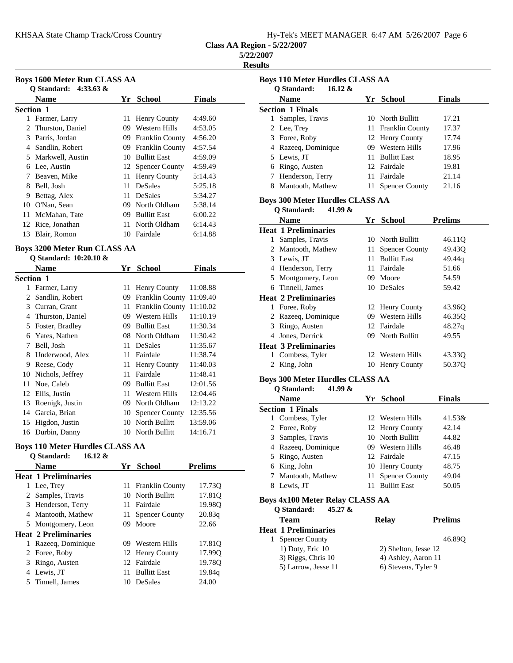|  | Hy-Tek's MEET MANAGER 6:47 AM 5/26/2007 Page 6 |  |  |
|--|------------------------------------------------|--|--|
|  |                                                |  |  |

#### **5/22/2007**

**Results**

| <b>Boys 1600 Meter Run CLASS AA</b><br>O Standard: $4:33.63 \&$ |                    |    |                        |         |  |  |  |  |
|-----------------------------------------------------------------|--------------------|----|------------------------|---------|--|--|--|--|
|                                                                 | <b>Name</b>        | Yr | <b>School</b>          | Finals  |  |  |  |  |
| <b>Section 1</b>                                                |                    |    |                        |         |  |  |  |  |
| 1                                                               | Farmer, Larry      | 11 | <b>Henry County</b>    | 4:49.60 |  |  |  |  |
|                                                                 | 2 Thurston, Daniel | 09 | Western Hills          | 4:53.05 |  |  |  |  |
| 3                                                               | Parris, Jordan     | 09 | <b>Franklin County</b> | 4:56.20 |  |  |  |  |
| 4                                                               | Sandlin, Robert    | 09 | <b>Franklin County</b> | 4:57.54 |  |  |  |  |
|                                                                 | 5 Markwell, Austin | 10 | <b>Bullitt East</b>    | 4:59.09 |  |  |  |  |
| 6                                                               | Lee, Austin        |    | 12 Spencer County      | 4:59.49 |  |  |  |  |
| 7                                                               | Beaven, Mike       | 11 | <b>Henry County</b>    | 5:14.43 |  |  |  |  |
| 8                                                               | Bell, Josh         | 11 | <b>DeSales</b>         | 5:25.18 |  |  |  |  |
| 9                                                               | Bettag, Alex       | 11 | <b>DeSales</b>         | 5:34.27 |  |  |  |  |
| 10                                                              | O'Nan, Sean        | 09 | North Oldham           | 5:38.14 |  |  |  |  |
| 11                                                              | McMahan, Tate      | 09 | <b>Bullitt East</b>    | 6:00.22 |  |  |  |  |
| 12                                                              | Rice, Jonathan     | 11 | North Oldham           | 6:14.43 |  |  |  |  |
| 13                                                              | Blair, Romon       | 10 | Fairdale               | 6:14.88 |  |  |  |  |

## **Boys 3200 Meter Run CLASS AA Q Standard: 10:20.10 &**

|                  | <b>Name</b>      | Yr | <b>School</b>          | <b>Finals</b> |
|------------------|------------------|----|------------------------|---------------|
| <b>Section 1</b> |                  |    |                        |               |
| 1                | Farmer, Larry    | 11 | <b>Henry County</b>    | 11:08.88      |
| 2                | Sandlin, Robert  | 09 | <b>Franklin County</b> | 11:09.40      |
| 3                | Curran, Grant    | 11 | <b>Franklin County</b> | 11:10.02      |
| 4                | Thurston, Daniel | 09 | Western Hills          | 11:10.19      |
| 5                | Foster, Bradley  | 09 | <b>Bullitt East</b>    | 11:30.34      |
| 6                | Yates, Nathen    | 08 | North Oldham           | 11:30.42      |
| 7                | Bell, Josh       | 11 | <b>DeSales</b>         | 11:35.67      |
| 8                | Underwood, Alex  | 11 | Fairdale               | 11:38.74      |
| 9                | Reese, Cody      | 11 | Henry County           | 11:40.03      |
| 10               | Nichols, Jeffrey | 11 | Fairdale               | 11:48.41      |
| 11               | Noe, Caleb       | 09 | <b>Bullitt East</b>    | 12:01.56      |
| 12               | Ellis, Justin    | 11 | Western Hills          | 12:04.46      |
| 13               | Roenigk, Justin  | 09 | North Oldham           | 12:13.22      |
| 14               | Garcia, Brian    | 10 | <b>Spencer County</b>  | 12:35.56      |
| 15               | Higdon, Justin   | 10 | North Bullitt          | 13:59.06      |
| 16               | Durbin, Danny    | 10 | North Bullitt          | 14:16.71      |

#### **Boys 110 Meter Hurdles CLASS AA Q Standard: 16.12 &**

|                | O Stanuaru.<br>10.12 Q      |     |                       |                |
|----------------|-----------------------------|-----|-----------------------|----------------|
|                | <b>Name</b>                 |     | Yr School             | <b>Prelims</b> |
|                | <b>Heat 1 Preliminaries</b> |     |                       |                |
|                | Lee, Trey                   |     | 11 Franklin County    | 17.730         |
|                | 2 Samples, Travis           |     | 10 North Bullitt      | 17.81Q         |
| 3              | Henderson, Terry            | 11. | Fairdale              | 19.980         |
| 4              | Mantooth, Mathew            | 11  | <b>Spencer County</b> | 20.83q         |
| 5              | Montgomery, Leon            | 09  | Moore                 | 22.66          |
|                | <b>Heat 2 Preliminaries</b> |     |                       |                |
| 1              | Razeeg, Dominique           |     | 09 Western Hills      | 17.81Q         |
| $\overline{2}$ | Foree, Roby                 |     | 12 Henry County       | 17.990         |
| 3              | Ringo, Austen               |     | 12 Fairdale           | 19.780         |
| 4              | Lewis, JT                   | 11  | <b>Bullitt East</b>   | 19.84q         |
|                | 5 Tinnell, James            | 10  | <b>DeSales</b>        | 24.00          |
|                |                             |     |                       |                |

| <b>Boys 110 Meter Hurdles CLASS AA</b><br>$16.12 \&$ |         |                        |                |
|------------------------------------------------------|---------|------------------------|----------------|
| <b>Q</b> Standard:<br><b>Name</b>                    |         | Yr School              | <b>Finals</b>  |
| <b>Section 1 Finals</b>                              |         |                        |                |
| Samples, Travis<br>1.                                |         | 10 North Bullitt       | 17.21          |
| 2 Lee, Trey                                          | 11-     | <b>Franklin County</b> | 17.37          |
| 3 Foree, Roby                                        |         | 12 Henry County        | 17.74          |
| 4 Razeeq, Dominique                                  |         | 09 Western Hills       | 17.96          |
| 5 Lewis, JT                                          | 11.     | <b>Bullitt East</b>    | 18.95          |
| 6 Ringo, Austen                                      | $12-12$ | Fairdale               | 19.81          |
| 7 Henderson, Terry                                   |         | 11 Fairdale            | 21.14          |
| 8 Mantooth, Mathew                                   |         | 11 Spencer County      | 21.16          |
| <b>Boys 300 Meter Hurdles CLASS AA</b>               |         |                        |                |
| O Standard:<br>41.99 &                               |         |                        |                |
| <b>Name</b>                                          |         | Yr School              | <b>Prelims</b> |
| <b>Heat 1 Preliminaries</b>                          |         |                        |                |
| Samples, Travis<br>$\mathbf{1}$                      |         | 10 North Bullitt       | 46.11Q         |
| 2 Mantooth, Mathew                                   | 11      | <b>Spencer County</b>  | 49.43Q         |
| 3 Lewis, JT                                          | 11.     | <b>Bullitt East</b>    | 49.44g         |
| 4 Henderson, Terry                                   |         | 11 Fairdale            | 51.66          |
| 5 Montgomery, Leon                                   |         | 09 Moore               | 54.59          |
| Tinnell, James<br>6.                                 |         | 10 DeSales             | 59.42          |
| <b>Heat 2 Preliminaries</b>                          |         |                        |                |
| 1 Foree, Roby                                        | 12      | <b>Henry County</b>    | 43.96Q         |
| 2 Razeeq, Dominique                                  | 09      | <b>Western Hills</b>   | 46.35Q         |
| 3 Ringo, Austen                                      |         | 12 Fairdale            | 48.27q         |
| 4 Jones, Derrick                                     |         | 09 North Bullitt       | 49.55          |
| <b>Heat 3 Preliminaries</b>                          |         |                        |                |
| 1 Combess, Tyler                                     |         | 12 Western Hills       | 43.33Q         |
| 2 King, John                                         |         | 10 Henry County        | 50.37Q         |
| <b>Boys 300 Meter Hurdles CLASS AA</b>               |         |                        |                |

#### **Q Standard: 41.99 &**

|    | <b>Name</b>             | Yr School           | <b>Finals</b> |
|----|-------------------------|---------------------|---------------|
|    | <b>Section 1 Finals</b> |                     |               |
|    | 1 Combess, Tyler        | 12 Western Hills    | 41.53&        |
|    | 2 Foree, Roby           | 12 Henry County     | 42.14         |
|    | 3 Samples, Travis       | 10 North Bullitt    | 44.82         |
|    | 4 Razeeg, Dominique     | 09 Western Hills    | 46.48         |
|    | 5 Ringo, Austen         | 12 Fairdale         | 47.15         |
|    | 6 King, John            | 10 Henry County     | 48.75         |
|    | 7 Mantooth, Mathew      | 11 Spencer County   | 49.04         |
| 8. | Lewis, JT               | <b>Bullitt East</b> | 50.05         |

## **Boys 4x100 Meter Relay CLASS AA**

| 45.27 $\&$<br>Q Standard:   |                      |                |
|-----------------------------|----------------------|----------------|
| <b>Team</b>                 | Relav                | <b>Prelims</b> |
| <b>Heat 1 Preliminaries</b> |                      |                |
| <b>Spencer County</b>       |                      | 46.890         |
| $1)$ Doty, Eric $10$        | 2) Shelton, Jesse 12 |                |
| 3) Riggs, Chris 10          | 4) Ashley, Aaron 11  |                |
| 5) Larrow, Jesse 11         | 6) Stevens, Tyler 9  |                |
|                             |                      |                |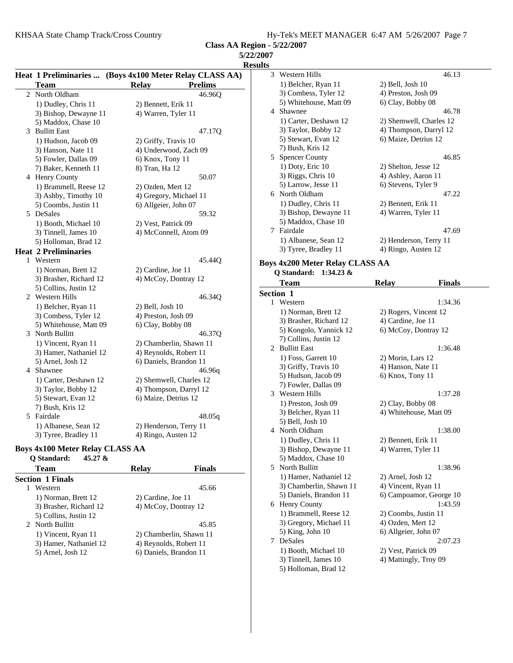2 45.85 North Bullitt 1) Vincent, Ryan 11 2) Chamberlin, Shawn 11 3) Hamer, Nathaniel 12 4) Reynolds, Robert 11 5) Arnel, Josh 12 6) Daniels, Brandon 11

3) Gregory, Michael 11 4) Ozden, Mert 12<br>5) King, John 10 6) Allgeier, John 0

1) Booth, Michael 10 2) Vest, Patrick 09 3) Tinnell, James 10 4) Mattingly, Troy 09

7 DeSales

5) Holloman, Brad 12

6) Allgeier, John 07  $2:07.23$ 

**Class AA Region - 5/22/2007**

|                                                         |                         |                | 5/22/2007                              |                         |               |
|---------------------------------------------------------|-------------------------|----------------|----------------------------------------|-------------------------|---------------|
|                                                         |                         |                | <b>Results</b>                         |                         |               |
| Heat 1 Preliminaries  (Boys 4x100 Meter Relay CLASS AA) |                         |                | 3 Western Hills                        |                         | 46.13         |
| <b>Team</b>                                             | <b>Relay</b>            | <b>Prelims</b> | 1) Belcher, Ryan 11                    | 2) Bell, Josh 10        |               |
| 2 North Oldham                                          |                         | 46.96Q         | 3) Combess, Tyler 12                   | 4) Preston, Josh 09     |               |
| 1) Dudley, Chris 11                                     | 2) Bennett, Erik 11     |                | 5) Whitehouse, Matt 09                 | 6) Clay, Bobby 08       |               |
| 3) Bishop, Dewayne 11                                   | 4) Warren, Tyler 11     |                | 4 Shawnee                              |                         | 46.78         |
| 5) Maddox, Chase 10                                     |                         |                | 1) Carter, Deshawn 12                  | 2) Shemwell, Charles 12 |               |
| 3 Bullitt East                                          |                         | 47.17Q         | 3) Taylor, Bobby 12                    | 4) Thompson, Darryl 12  |               |
| 1) Hudson, Jacob 09                                     | 2) Griffy, Travis 10    |                | 5) Stewart, Evan 12                    | 6) Maize, Detrius 12    |               |
| 3) Hanson, Nate 11                                      | 4) Underwood, Zach 09   |                | 7) Bush, Kris 12                       |                         |               |
| 5) Fowler, Dallas 09                                    | 6) Knox, Tony 11        |                | 5 Spencer County                       |                         | 46.85         |
| 7) Baker, Kenneth 11                                    | 8) Tran, Ha 12          |                | 1) Doty, Eric 10                       | 2) Shelton, Jesse 12    |               |
| 4 Henry County                                          |                         | 50.07          | 3) Riggs, Chris 10                     | 4) Ashley, Aaron 11     |               |
| 1) Brammell, Reese 12                                   | 2) Ozden, Mert 12       |                | 5) Larrow, Jesse 11                    | 6) Stevens, Tyler 9     |               |
| 3) Ashby, Timothy 10                                    | 4) Gregory, Michael 11  |                | 6 North Oldham                         |                         | 47.22         |
| 5) Coombs, Justin 11                                    | 6) Allgeier, John 07    |                | 1) Dudley, Chris 11                    | 2) Bennett, Erik 11     |               |
| 5 DeSales                                               |                         | 59.32          | 3) Bishop, Dewayne 11                  | 4) Warren, Tyler 11     |               |
| 1) Booth, Michael 10                                    | 2) Vest, Patrick 09     |                | 5) Maddox, Chase 10                    |                         |               |
| 3) Tinnell, James 10                                    | 4) McConnell, Atom 09   |                | 7 Fairdale                             |                         | 47.69         |
| 5) Holloman, Brad 12                                    |                         |                | 1) Albanese, Sean 12                   | 2) Henderson, Terry 11  |               |
| <b>Heat 2 Preliminaries</b>                             |                         |                | 3) Tyree, Bradley 11                   | 4) Ringo, Austen 12     |               |
| 1 Western                                               |                         | 45.44Q         | <b>Boys 4x200 Meter Relay CLASS AA</b> |                         |               |
| 1) Norman, Brett 12                                     | 2) Cardine, Joe 11      |                |                                        |                         |               |
| 3) Brasher, Richard 12                                  | 4) McCoy, Dontray 12    |                | Q Standard: 1:34.23 &                  |                         |               |
| 5) Collins, Justin 12                                   |                         |                | <b>Team</b>                            | <b>Relay</b>            | <b>Finals</b> |
| 2 Western Hills                                         |                         | 46.34Q         | Section 1                              |                         |               |
| 1) Belcher, Ryan 11                                     | 2) Bell, Josh 10        |                | 1 Western                              |                         | 1:34.36       |
| 3) Combess, Tyler 12                                    | 4) Preston, Josh 09     |                | 1) Norman, Brett 12                    | 2) Rogers, Vincent 12   |               |
| 5) Whitehouse, Matt 09                                  | 6) Clay, Bobby 08       |                | 3) Brasher, Richard 12                 | 4) Cardine, Joe 11      |               |
| 3 North Bullitt                                         |                         | 46.37Q         | 5) Kongolo, Yannick 12                 | 6) McCoy, Dontray 12    |               |
| 1) Vincent, Ryan 11                                     | 2) Chamberlin, Shawn 11 |                | 7) Collins, Justin 12                  |                         |               |
| 3) Hamer, Nathaniel 12                                  | 4) Reynolds, Robert 11  |                | 2 Bullitt East                         |                         | 1:36.48       |
| 5) Arnel, Josh 12                                       | 6) Daniels, Brandon 11  |                | 1) Foss, Garrett 10                    | 2) Morin, Lars 12       |               |
| 4 Shawnee                                               |                         | 46.96q         | 3) Griffy, Travis 10                   | 4) Hanson, Nate 11      |               |
| 1) Carter, Deshawn 12                                   | 2) Shemwell, Charles 12 |                | 5) Hudson, Jacob 09                    | 6) Knox, Tony 11        |               |
| 3) Taylor, Bobby 12                                     | 4) Thompson, Darryl 12  |                | 7) Fowler, Dallas 09                   |                         |               |
| 5) Stewart, Evan 12                                     | 6) Maize, Detrius 12    |                | 3 Western Hills                        |                         | 1:37.28       |
| 7) Bush, Kris 12                                        |                         |                | 1) Preston, Josh 09                    | 2) Clay, Bobby 08       |               |
| 5 Fairdale                                              |                         | 48.05q         | 3) Belcher, Ryan 11                    | 4) Whitehouse, Matt 09  |               |
| 1) Albanese, Sean 12                                    | 2) Henderson, Terry 11  |                | 5) Bell, Josh 10                       |                         |               |
| 3) Tyree, Bradley 11                                    | 4) Ringo, Austen 12     |                | 4 North Oldham                         |                         | 1:38.00       |
|                                                         |                         |                | 1) Dudley, Chris 11                    | 2) Bennett, Erik 11     |               |
| <b>Boys 4x100 Meter Relay CLASS AA</b>                  |                         |                | 3) Bishop, Dewayne 11                  | 4) Warren, Tyler 11     |               |
| Q Standard:<br>45.27 &                                  |                         |                | 5) Maddox, Chase 10                    |                         |               |
| <b>Team</b>                                             | <b>Relay</b>            | <b>Finals</b>  | 5 North Bullitt                        |                         | 1:38.96       |
| <b>Section 1 Finals</b>                                 |                         |                | 1) Hamer, Nathaniel 12                 | 2) Arnel, Josh 12       |               |
| 1 Western                                               |                         | 45.66          | 3) Chamberlin, Shawn 11                | 4) Vincent, Ryan 11     |               |
| 1) Norman, Brett 12                                     | 2) Cardine, Joe 11      |                | 5) Daniels, Brandon 11                 | 6) Campoamor, George 10 |               |
| 3) Brasher, Richard 12                                  | 4) McCoy, Dontray 12    |                | 6 Henry County                         |                         | 1:43.59       |
| 5) Collins, Justin 12                                   |                         |                | 1) Brammell, Reese 12                  | 2) Coombs, Justin 11    |               |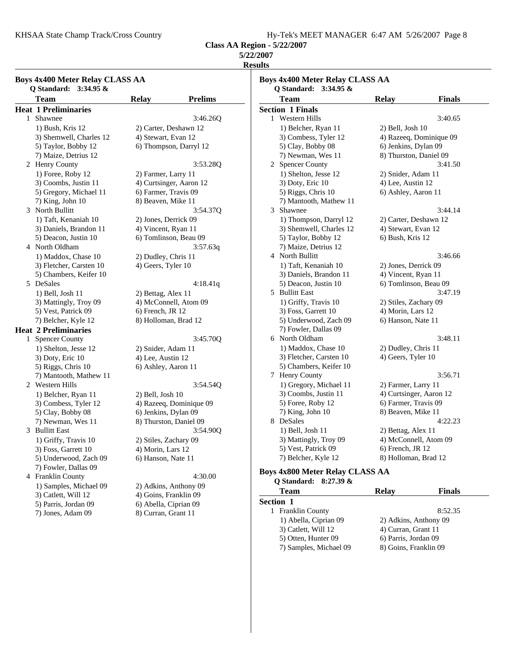KHSAA State Champ Track/Cross Country Hy-Tek's MEET MANAGER 6:47 AM 5/26/2007 Page 8

**Class AA Region - 5/22/2007**

## **5/22/2007**

**Results**

|   | Team                        | <b>Relay</b>          | <b>Prelims</b>          |
|---|-----------------------------|-----------------------|-------------------------|
|   | <b>Heat 1 Preliminaries</b> |                       |                         |
| 1 | Shawnee                     |                       | 3:46.26Q                |
|   | 1) Bush, Kris 12            | 2) Carter, Deshawn 12 |                         |
|   | 3) Shemwell, Charles 12     | 4) Stewart, Evan 12   |                         |
|   | 5) Taylor, Bobby 12         |                       | 6) Thompson, Darryl 12  |
|   | 7) Maize, Detrius 12        |                       |                         |
|   | 2 Henry County              |                       | 3:53.28Q                |
|   | 1) Foree, Roby 12           | 2) Farmer, Larry 11   |                         |
|   | 3) Coombs, Justin 11        |                       | 4) Curtsinger, Aaron 12 |
|   | 5) Gregory, Michael 11      | 6) Farmer, Travis 09  |                         |
|   | 7) King, John 10            | 8) Beaven, Mike 11    |                         |
|   | 3 North Bullitt             |                       | 3:54.37Q                |
|   | 1) Taft, Kenaniah 10        | 2) Jones, Derrick 09  |                         |
|   | 3) Daniels, Brandon 11      | 4) Vincent, Ryan 11   |                         |
|   | 5) Deacon, Justin 10        |                       | 6) Tomlinson, Beau 09   |
|   | 4 North Oldham              |                       | 3:57.63q                |
|   | 1) Maddox, Chase 10         | 2) Dudley, Chris 11   |                         |
|   | 3) Fletcher, Carsten 10     | 4) Geers, Tyler 10    |                         |
|   | 5) Chambers, Keifer 10      |                       |                         |
|   | 5 DeSales                   |                       | 4:18.41q                |
|   | 1) Bell, Josh 11            | 2) Bettag, Alex 11    |                         |
|   | 3) Mattingly, Troy 09       |                       | 4) McConnell, Atom 09   |
|   | 5) Vest, Patrick 09         | 6) French, JR 12      |                         |
|   | 7) Belcher, Kyle 12         | 8) Holloman, Brad 12  |                         |
|   | <b>Heat 2 Preliminaries</b> |                       |                         |
|   | 1 Spencer County            |                       | 3:45.70Q                |
|   | 1) Shelton, Jesse 12        | 2) Snider, Adam 11    |                         |
|   | 3) Doty, Eric 10            | 4) Lee, Austin 12     |                         |
|   | 5) Riggs, Chris 10          | 6) Ashley, Aaron 11   |                         |
|   | 7) Mantooth, Mathew 11      |                       |                         |
|   | 2 Western Hills             |                       | 3:54.54Q                |
|   | 1) Belcher, Ryan 11         | $(2)$ Bell, Josh $10$ |                         |
|   | 3) Combess, Tyler 12        |                       | 4) Razeeq, Dominique 09 |
|   | 5) Clay, Bobby 08           | 6) Jenkins, Dylan 09  |                         |
|   | 7) Newman, Wes 11           |                       | 8) Thurston, Daniel 09  |
|   | 3 Bullitt East              |                       | 3:54.90Q                |
|   | 1) Griffy, Travis 10        | 2) Stiles, Zachary 09 |                         |
|   | 3) Foss, Garrett 10         | 4) Morin, Lars 12     |                         |
|   | 5) Underwood, Zach 09       | 6) Hanson, Nate 11    |                         |
|   | 7) Fowler, Dallas 09        |                       |                         |
|   | 4 Franklin County           |                       | 4:30.00                 |
|   | 1) Samples, Michael 09      |                       | 2) Adkins, Anthony 09   |
|   | 3) Catlett, Will 12         | 4) Goins, Franklin 09 |                         |
|   | 5) Parris, Jordan 09        | 6) Abella, Ciprian 09 |                         |
|   | 7) Jones, Adam 09           | 8) Curran, Grant 11   |                         |

|   | Team                    | <b>Relay</b>            | <b>Finals</b>           |
|---|-------------------------|-------------------------|-------------------------|
|   | <b>Section 1 Finals</b> |                         |                         |
|   | 1 Western Hills         |                         | 3:40.65                 |
|   | 1) Belcher, Ryan 11     | 2) Bell, Josh 10        |                         |
|   | 3) Combess, Tyler 12    |                         | 4) Razeeq, Dominique 09 |
|   | 5) Clay, Bobby 08       | 6) Jenkins, Dylan 09    |                         |
|   | 7) Newman, Wes 11       | 8) Thurston, Daniel 09  |                         |
|   | 2 Spencer County        |                         | 3:41.50                 |
|   | 1) Shelton, Jesse 12    | 2) Snider, Adam 11      |                         |
|   | 3) Doty, Eric 10        | 4) Lee, Austin 12       |                         |
|   | 5) Riggs, Chris 10      | 6) Ashley, Aaron 11     |                         |
|   | 7) Mantooth, Mathew 11  |                         |                         |
| 3 | Shawnee                 |                         | 3:44.14                 |
|   | 1) Thompson, Darryl 12  | 2) Carter, Deshawn 12   |                         |
|   | 3) Shemwell, Charles 12 | 4) Stewart, Evan 12     |                         |
|   | 5) Taylor, Bobby 12     | 6) Bush, Kris 12        |                         |
|   | 7) Maize, Detrius 12    |                         |                         |
|   | 4 North Bullitt         |                         | 3:46.66                 |
|   | 1) Taft, Kenaniah 10    | 2) Jones, Derrick 09    |                         |
|   | 3) Daniels, Brandon 11  | 4) Vincent, Ryan 11     |                         |
|   | 5) Deacon, Justin 10    | 6) Tomlinson, Beau 09   |                         |
|   | 5 Bullitt East          |                         | 3:47.19                 |
|   | 1) Griffy, Travis 10    | 2) Stiles, Zachary 09   |                         |
|   | 3) Foss, Garrett 10     | 4) Morin, Lars 12       |                         |
|   | 5) Underwood, Zach 09   | 6) Hanson, Nate 11      |                         |
|   | 7) Fowler, Dallas 09    |                         |                         |
|   | 6 North Oldham          |                         | 3:48.11                 |
|   | 1) Maddox, Chase 10     | 2) Dudley, Chris 11     |                         |
|   | 3) Fletcher, Carsten 10 | 4) Geers, Tyler 10      |                         |
|   | 5) Chambers, Keifer 10  |                         |                         |
| 7 | <b>Henry County</b>     |                         | 3:56.71                 |
|   | 1) Gregory, Michael 11  | 2) Farmer, Larry 11     |                         |
|   | 3) Coombs, Justin 11    | 4) Curtsinger, Aaron 12 |                         |
|   | 5) Foree, Roby 12       | 6) Farmer, Travis 09    |                         |
|   | 7) King, John 10        | 8) Beaven, Mike 11      |                         |
|   | 8 DeSales               |                         | 4:22.23                 |
|   | 1) Bell, Josh 11        | 2) Bettag, Alex 11      |                         |
|   | 3) Mattingly, Troy 09   | 4) McConnell, Atom 09   |                         |
|   |                         |                         |                         |
|   | 5) Vest, Patrick 09     | 6) French, JR 12        |                         |

#### **Boys 4x800 Meter Relay CLASS AA Q Standard: 8:27.39 &**

| Team                        | Relav                 | <b>Finals</b> |
|-----------------------------|-----------------------|---------------|
| <b>Section 1</b>            |                       |               |
| <b>Franklin County</b><br>L |                       | 8:52.35       |
| 1) Abella, Ciprian 09       | 2) Adkins, Anthony 09 |               |
| 3) Catlett, Will 12         | 4) Curran, Grant 11   |               |
| 5) Otten, Hunter 09         | 6) Parris, Jordan 09  |               |
| 7) Samples, Michael 09      | 8) Goins, Franklin 09 |               |